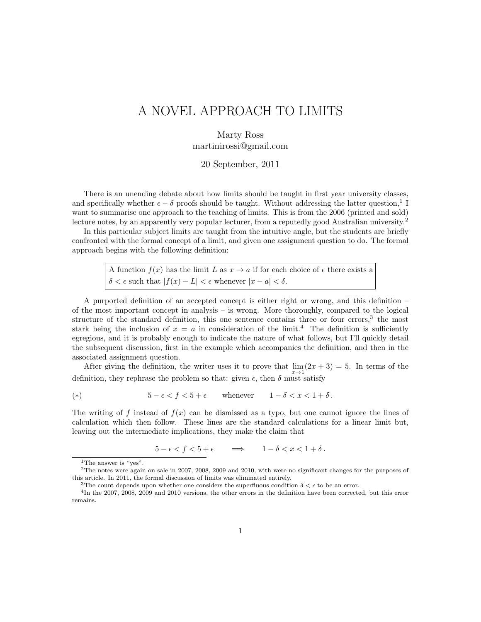## A NOVEL APPROACH TO LIMITS

Marty Ross martinirossi@gmail.com

20 September, 2011

There is an unending debate about how limits should be taught in first year university classes, and specifically whether  $\epsilon - \delta$  proofs should be taught. Without addressing the latter question,<sup>1</sup> I want to summarise one approach to the teaching of limits. This is from the 2006 (printed and sold) lecture notes, by an apparently very popular lecturer, from a reputedly good Australian university.<sup>2</sup>

In this particular subject limits are taught from the intuitive angle, but the students are briefly confronted with the formal concept of a limit, and given one assignment question to do. The formal approach begins with the following definition:

> A function  $f(x)$  has the limit L as  $x \to a$  if for each choice of  $\epsilon$  there exists a  $\delta < \epsilon$  such that  $|f(x) - L| < \epsilon$  whenever  $|x - a| < \delta$ .

A purported definition of an accepted concept is either right or wrong, and this definition – of the most important concept in analysis – is wrong. More thoroughly, compared to the logical structure of the standard definition, this one sentence contains three or four errors,<sup>3</sup> the most stark being the inclusion of  $x = a$  in consideration of the limit.<sup>4</sup> The definition is sufficiently egregious, and it is probably enough to indicate the nature of what follows, but I'll quickly detail the subsequent discussion, first in the example which accompanies the definition, and then in the associated assignment question.

After giving the definition, the writer uses it to prove that  $\lim_{x\to 1}(2x+3)=5$ . In terms of the definition, they rephrase the problem so that: given  $\epsilon$ , then  $\delta$  must satisfy

(\*)  $5 - \epsilon < f < 5 + \epsilon$  whenever  $1 - \delta < x < 1 + \delta$ .

The writing of f instead of  $f(x)$  can be dismissed as a typo, but one cannot ignore the lines of calculation which then follow. These lines are the standard calculations for a linear limit but, leaving out the intermediate implications, they make the claim that

 $5 - \epsilon < f < 5 + \epsilon \qquad \Longrightarrow \qquad 1 - \delta < x < 1 + \delta \,.$ 

<sup>&</sup>lt;sup>1</sup>The answer is "yes".

<sup>&</sup>lt;sup>2</sup>The notes were again on sale in 2007, 2008, 2009 and 2010, with were no significant changes for the purposes of this article. In 2011, the formal discussion of limits was eliminated entirely.

<sup>&</sup>lt;sup>3</sup>The count depends upon whether one considers the superfluous condition  $\delta < \epsilon$  to be an error.

<sup>4</sup> In the 2007, 2008, 2009 and 2010 versions, the other errors in the definition have been corrected, but this error remains.